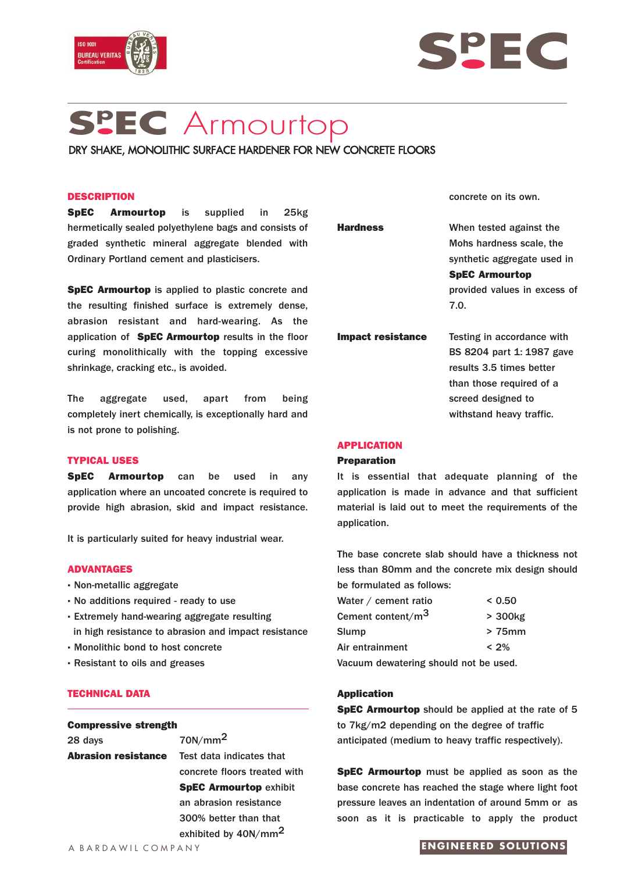



# **Sp EC** Armourtop

DRY SHAKE, MONOLITHIC SURFACE HARDENER FOR NEW CONCRETE FLOORS

## **DESCRIPTION**

**SpEC Armourtop** is supplied in 25kg hermetically sealed polyethylene bags and consists of graded synthetic mineral aggregate blended with Ordinary Portland cement and plasticisers.

**SpEC Armourtop** is applied to plastic concrete and the resulting finished surface is extremely dense, abrasion resistant and hard-wearing. As the application of **SpEC Armourtop** results in the floor curing monolithically with the topping excessive shrinkage, cracking etc., is avoided.

The aggregate used, apart from being completely inert chemically, is exceptionally hard and is not prone to polishing.

# **TYPICAL USES**

**SpEC Armourtop** can be used in any application where an uncoated concrete is required to provide high abrasion, skid and impact resistance.

It is particularly suited for heavy industrial wear.

## **ADVANTAGES**

- **·** Non-metallic aggregate
- **·** No additions required ready to use
- **·** Extremely hand-wearing aggregate resulting in high resistance to abrasion and impact resistance
- **·** Monolithic bond to host concrete
- **·** Resistant to oils and greases

## **TECHNICAL DATA**

# **Compressive strength**

28 days  $70N/mm^2$ **Abrasion resistance** Test data indicates that

concrete floors treated with **SpEC Armourtop exhibit** an abrasion resistance 300% better than that exhibited by 40N/mm2

A BARDAWIL COMPANY

concrete on its own.

| <b>Hardness</b>   | When tested against the      |
|-------------------|------------------------------|
|                   | Mohs hardness scale, the     |
|                   | synthetic aggregate used in  |
|                   | <b>SpEC Armourtop</b>        |
|                   | provided values in excess of |
|                   | 7.0.                         |
| Impact resistance | Testing in accordance with   |
|                   | BS 8204 part 1: 1987 gave    |
|                   | results 3.5 times better     |
|                   | than those required of a     |
|                   | screed designed to           |
|                   | withstand heavy traffic.     |
|                   |                              |

## **APPLICATION**

#### **Preparation**

It is essential that adequate planning of the application is made in advance and that sufficient material is laid out to meet the requirements of the application.

The base concrete slab should have a thickness not less than 80mm and the concrete mix design should be formulated as follows:

| Water / cement ratio                                                | < 0.50   |
|---------------------------------------------------------------------|----------|
| Cement content/m <sup>3</sup>                                       | > 300kg  |
| Slump                                                               | $>75$ mm |
| Air entrainment                                                     | $< 2\%$  |
| المتحدد المتعل للجيم الماردية والمراض وباستملح ومدينة ومستحدث والار |          |

Vacuum dewatering should not be used.

## **Application**

**SpEC Armourtop** should be applied at the rate of 5 to 7kg/m2 depending on the degree of traffic anticipated (medium to heavy traffic respectively).

**SpEC Armourtop** must be applied as soon as the base concrete has reached the stage where light foot pressure leaves an indentation of around 5mm or as soon as it is practicable to apply the product

## **ENGINEERED SOLUTIONS**